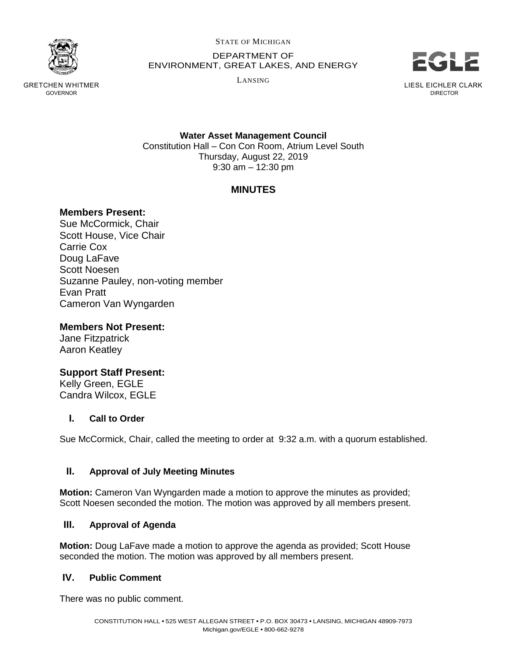

GRETCHEN WHITMER GOVERNOR

STATE OF MICHIGAN

DEPARTMENT OF ENVIRONMENT, GREAT LAKES, AND ENERGY

LANSING



DIRECTOR

**Water Asset Management Council** Constitution Hall – Con Con Room, Atrium Level South Thursday, August 22, 2019 9:30 am – 12:30 pm

# **MINUTES**

## **Members Present:**

Sue McCormick, Chair Scott House, Vice Chair Carrie Cox Doug LaFave Scott Noesen Suzanne Pauley, non-voting member Evan Pratt Cameron Van Wyngarden

## **Members Not Present:**

Jane Fitzpatrick Aaron Keatley

# **Support Staff Present:**

Kelly Green, EGLE Candra Wilcox, EGLE

### **I. Call to Order**

Sue McCormick, Chair, called the meeting to order at 9:32 a.m. with a quorum established.

### **II. Approval of July Meeting Minutes**

**Motion:** Cameron Van Wyngarden made a motion to approve the minutes as provided; Scott Noesen seconded the motion. The motion was approved by all members present.

### **III. Approval of Agenda**

**Motion:** Doug LaFave made a motion to approve the agenda as provided; Scott House seconded the motion. The motion was approved by all members present.

### **IV. Public Comment**

There was no public comment.